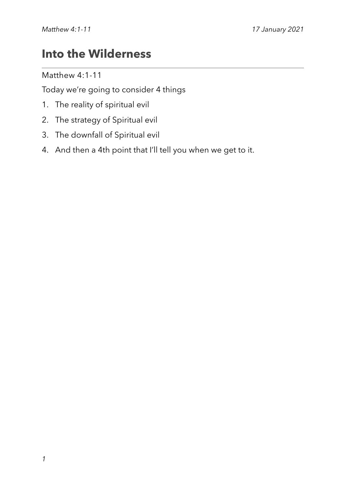# **Into the Wilderness**

Matthew 4:1-11

Today we're going to consider 4 things

- 1. The reality of spiritual evil
- 2. The strategy of Spiritual evil
- 3. The downfall of Spiritual evil
- 4. And then a 4th point that I'll tell you when we get to it.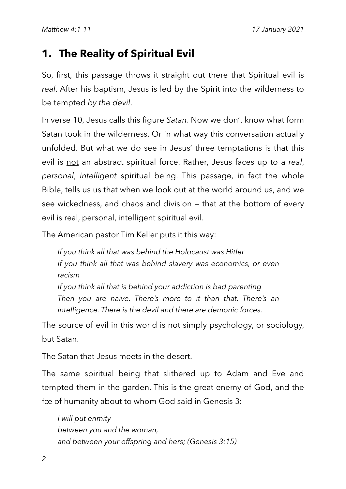# **1. The Reality of Spiritual Evil**

So, first, this passage throws it straight out there that Spiritual evil is *real*. After his baptism, Jesus is led by the Spirit into the wilderness to be tempted *by the devil*.

In verse 10, Jesus calls this figure *Satan*. Now we don't know what form Satan took in the wilderness. Or in what way this conversation actually unfolded. But what we do see in Jesus' three temptations is that this evil is not an abstract spiritual force. Rather, Jesus faces up to a *real*, *personal*, *intelligent* spiritual being. This passage, in fact the whole Bible, tells us us that when we look out at the world around us, and we see wickedness, and chaos and division — that at the bottom of every evil is real, personal, intelligent spiritual evil.

The American pastor Tim Keller puts it this way:

*If you think all that was behind the Holocaust was Hitler If you think all that was behind slavery was economics, or even racism If you think all that is behind your addiction is bad parenting Then you are naive. There's more to it than that. There's an* 

*intelligence. There is the devil and there are demonic forces.*

The source of evil in this world is not simply psychology, or sociology, but Satan.

The Satan that Jesus meets in the desert.

The same spiritual being that slithered up to Adam and Eve and tempted them in the garden. This is the great enemy of God, and the fœ of humanity about to whom God said in Genesis 3:

*I will put enmity between you and the woman, and between your offspring and hers; (Genesis 3:15)*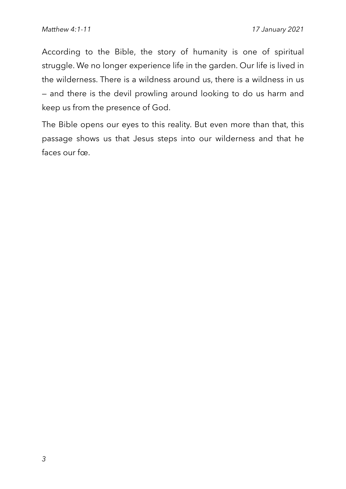According to the Bible, the story of humanity is one of spiritual struggle. We no longer experience life in the garden. Our life is lived in the wilderness. There is a wildness around us, there is a wildness in us — and there is the devil prowling around looking to do us harm and keep us from the presence of God.

The Bible opens our eyes to this reality. But even more than that, this passage shows us that Jesus steps into our wilderness and that he faces our foe.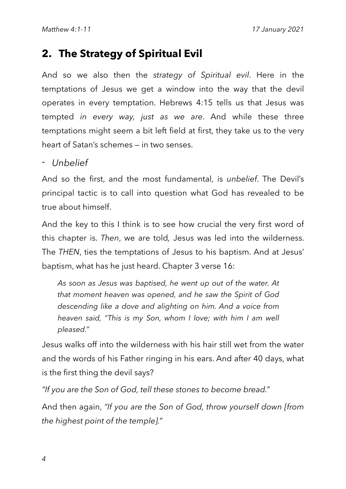## **2. The Strategy of Spiritual Evil**

And so we also then the *strategy of Spiritual evil*. Here in the temptations of Jesus we get a window into the way that the devil operates in every temptation. Hebrews 4:15 tells us that Jesus was tempted *in every way, just as we are*. And while these three temptations might seem a bit left field at first, they take us to the very heart of Satan's schemes — in two senses.

#### *- Unbelief*

And so the first, and the most fundamental, is *unbelief*. The Devil's principal tactic is to call into question what God has revealed to be true about himself.

And the key to this I think is to see how crucial the very first word of this chapter is. *Then*, we are told*,* Jesus was led into the wilderness. The *THEN*, ties the temptations of Jesus to his baptism. And at Jesus' baptism, what has he just heard. Chapter 3 verse 16:

*As soon as Jesus was baptised, he went up out of the water. At that moment heaven was opened, and he saw the Spirit of God descending like a dove and alighting on him. And a voice from heaven said, "This is my Son, whom I love; with him I am well pleased."*

Jesus walks off into the wilderness with his hair still wet from the water and the words of his Father ringing in his ears. And after 40 days, what is the first thing the devil says?

*"If you are the Son of God, tell these stones to become bread."*

And then again, *"If you are the Son of God, throw yourself down [from the highest point of the temple]."*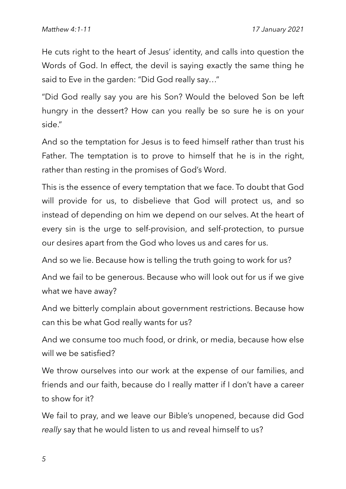He cuts right to the heart of Jesus' identity, and calls into question the Words of God. In effect, the devil is saying exactly the same thing he said to Eve in the garden: "Did God really say…"

"Did God really say you are his Son? Would the beloved Son be left hungry in the dessert? How can you really be so sure he is on your side."

And so the temptation for Jesus is to feed himself rather than trust his Father. The temptation is to prove to himself that he is in the right, rather than resting in the promises of God's Word.

This is the essence of every temptation that we face. To doubt that God will provide for us, to disbelieve that God will protect us, and so instead of depending on him we depend on our selves. At the heart of every sin is the urge to self-provision, and self-protection, to pursue our desires apart from the God who loves us and cares for us.

And so we lie. Because how is telling the truth going to work for us?

And we fail to be generous. Because who will look out for us if we give what we have away?

And we bitterly complain about government restrictions. Because how can this be what God really wants for us?

And we consume too much food, or drink, or media, because how else will we be satisfied?

We throw ourselves into our work at the expense of our families, and friends and our faith, because do I really matter if I don't have a career to show for it?

We fail to pray, and we leave our Bible's unopened, because did God *really* say that he would listen to us and reveal himself to us?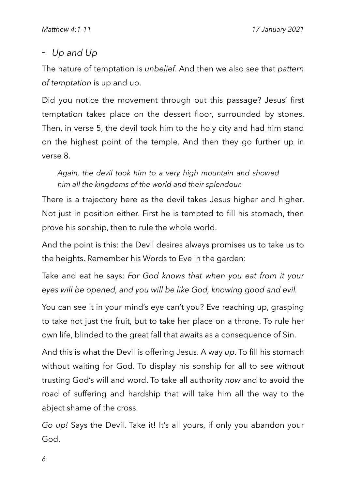### *- Up and Up*

The nature of temptation is *unbelief*. And then we also see that *pattern of temptation* is up and up.

Did you notice the movement through out this passage? Jesus' first temptation takes place on the dessert floor, surrounded by stones. Then, in verse 5, the devil took him to the holy city and had him stand on the highest point of the temple. And then they go further up in verse 8.

*Again, the devil took him to a very high mountain and showed him all the kingdoms of the world and their splendour.*

There is a trajectory here as the devil takes Jesus higher and higher. Not just in position either. First he is tempted to fill his stomach, then prove his sonship, then to rule the whole world.

And the point is this: the Devil desires always promises us to take us to the heights. Remember his Words to Eve in the garden:

Take and eat he says: *For God knows that when you eat from it your eyes will be opened, and you will be like God, knowing good and evil.*

You can see it in your mind's eye can't you? Eve reaching up, grasping to take not just the fruit, but to take her place on a throne. To rule her own life, blinded to the great fall that awaits as a consequence of Sin.

And this is what the Devil is offering Jesus. A way *up*. To fill his stomach without waiting for God. To display his sonship for all to see without trusting God's will and word. To take all authority *now* and to avoid the road of suffering and hardship that will take him all the way to the abject shame of the cross.

*Go up!* Says the Devil. Take it! It's all yours, if only you abandon your God.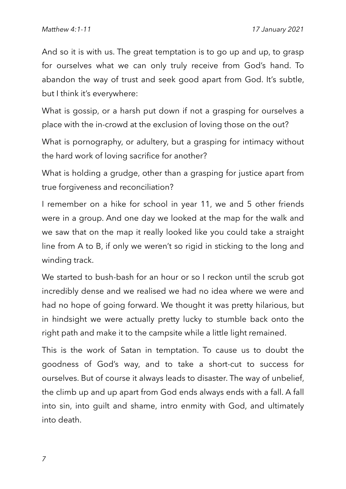And so it is with us. The great temptation is to go up and up, to grasp for ourselves what we can only truly receive from God's hand. To abandon the way of trust and seek good apart from God. It's subtle, but I think it's everywhere:

What is gossip, or a harsh put down if not a grasping for ourselves a place with the in-crowd at the exclusion of loving those on the out?

What is pornography, or adultery, but a grasping for intimacy without the hard work of loving sacrifice for another?

What is holding a grudge, other than a grasping for justice apart from true forgiveness and reconciliation?

I remember on a hike for school in year 11, we and 5 other friends were in a group. And one day we looked at the map for the walk and we saw that on the map it really looked like you could take a straight line from A to B, if only we weren't so rigid in sticking to the long and winding track.

We started to bush-bash for an hour or so I reckon until the scrub got incredibly dense and we realised we had no idea where we were and had no hope of going forward. We thought it was pretty hilarious, but in hindsight we were actually pretty lucky to stumble back onto the right path and make it to the campsite while a little light remained.

This is the work of Satan in temptation. To cause us to doubt the goodness of God's way, and to take a short-cut to success for ourselves. But of course it always leads to disaster. The way of unbelief, the climb up and up apart from God ends always ends with a fall. A fall into sin, into guilt and shame, intro enmity with God, and ultimately into death.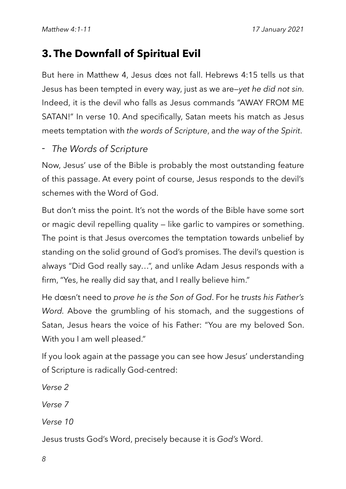# **3. The Downfall of Spiritual Evil**

But here in Matthew 4, Jesus does not fall. Hebrews 4:15 tells us that Jesus has been tempted in every way, just as we are—*yet he did not sin.*  Indeed, it is the devil who falls as Jesus commands "AWAY FROM ME SATAN!" In verse 10. And specifically, Satan meets his match as Jesus meets temptation with *the words of Scripture*, and *the way of the Spirit*.

#### *- The Words of Scripture*

Now, Jesus' use of the Bible is probably the most outstanding feature of this passage. At every point of course, Jesus responds to the devil's schemes with the Word of God.

But don't miss the point. It's not the words of the Bible have some sort or magic devil repelling quality — like garlic to vampires or something. The point is that Jesus overcomes the temptation towards unbelief by standing on the solid ground of God's promises. The devil's question is always "Did God really say…", and unlike Adam Jesus responds with a firm, "Yes, he really did say that, and I really believe him."

He doesn't need to *prove he is the Son of God*. For he *trusts his Father's Word.* Above the grumbling of his stomach, and the suggestions of Satan, Jesus hears the voice of his Father: "You are my beloved Son. With you I am well pleased."

If you look again at the passage you can see how Jesus' understanding of Scripture is radically God-centred:

*Verse 2*

*Verse 7*

*Verse 10*

Jesus trusts God's Word, precisely because it is *God's* Word.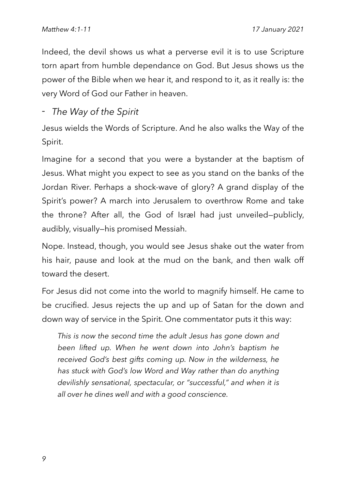Indeed, the devil shows us what a perverse evil it is to use Scripture torn apart from humble dependance on God. But Jesus shows us the power of the Bible when we hear it, and respond to it, as it really is: the very Word of God our Father in heaven.

*- The Way of the Spirit*

Jesus wields the Words of Scripture. And he also walks the Way of the Spirit.

Imagine for a second that you were a bystander at the baptism of Jesus. What might you expect to see as you stand on the banks of the Jordan River. Perhaps a shock-wave of glory? A grand display of the Spirit's power? A march into Jerusalem to overthrow Rome and take the throne? After all, the God of Israel had just unveiled—publicly, audibly, visually—his promised Messiah.

Nope. Instead, though, you would see Jesus shake out the water from his hair, pause and look at the mud on the bank, and then walk off toward the desert.

For Jesus did not come into the world to magnify himself. He came to be crucified. Jesus rejects the up and up of Satan for the down and down way of service in the Spirit. One commentator puts it this way:

*This is now the second time the adult Jesus has gone down and been lifted up. When he went down into John's baptism he received God's best gifts coming up. Now in the wilderness, he has stuck with God's low Word and Way rather than do anything devilishly sensational, spectacular, or "successful," and when it is all over he dines well and with a good conscience.*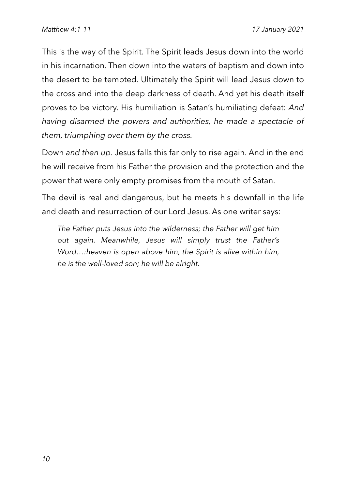This is the way of the Spirit. The Spirit leads Jesus down into the world in his incarnation. Then down into the waters of baptism and down into the desert to be tempted. Ultimately the Spirit will lead Jesus down to the cross and into the deep darkness of death. And yet his death itself proves to be victory. His humiliation is Satan's humiliating defeat: *And having disarmed the powers and authorities, he made a spectacle of them, triumphing over them by the cross.*

Down *and then up*. Jesus falls this far only to rise again. And in the end he will receive from his Father the provision and the protection and the power that were only empty promises from the mouth of Satan.

The devil is real and dangerous, but he meets his downfall in the life and death and resurrection of our Lord Jesus. As one writer says:

*The Father puts Jesus into the wilderness; the Father will get him out again. Meanwhile, Jesus will simply trust the Father's Word…:heaven is open above him, the Spirit is alive within him, he is the well-loved son; he will be alright.*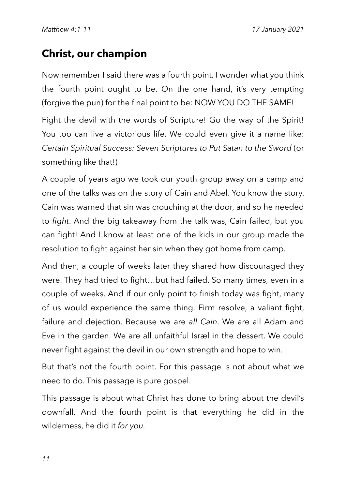# **Christ, our champion**

Now remember I said there was a fourth point. I wonder what you think the fourth point ought to be. On the one hand, it's very tempting (forgive the pun) for the final point to be: NOW YOU DO THE SAME!

Fight the devil with the words of Scripture! Go the way of the Spirit! You too can live a victorious life. We could even give it a name like: *Certain Spiritual Success: Seven Scriptures to Put Satan to the Sword* (or something like that!)

A couple of years ago we took our youth group away on a camp and one of the talks was on the story of Cain and Abel. You know the story. Cain was warned that sin was crouching at the door, and so he needed to *fight*. And the big takeaway from the talk was, Cain failed, but you can fight! And I know at least one of the kids in our group made the resolution to fight against her sin when they got home from camp.

And then, a couple of weeks later they shared how discouraged they were. They had tried to fight…but had failed. So many times, even in a couple of weeks. And if our only point to finish today was fight, many of us would experience the same thing. Firm resolve, a valiant fight, failure and dejection. Because we are *all Cain*. We are all Adam and Eve in the garden. We are all unfaithful Israel in the dessert. We could never fight against the devil in our own strength and hope to win.

But that's not the fourth point. For this passage is not about what we need to do. This passage is pure gospel.

This passage is about what Christ has done to bring about the devil's downfall. And the fourth point is that everything he did in the wilderness, he did it *for you.*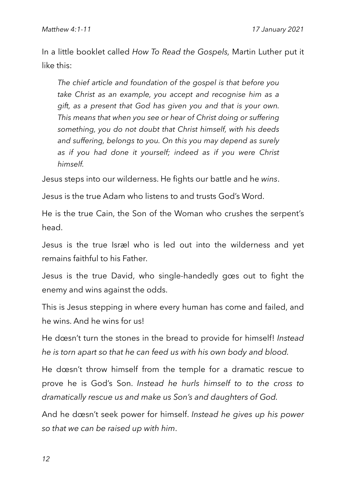In a little booklet called *How To Read the Gospels,* Martin Luther put it like this:

*The chief article and foundation of the gospel is that before you take Christ as an example, you accept and recognise him as a gift, as a present that God has given you and that is your own. This means that when you see or hear of Christ doing or suffering something, you do not doubt that Christ himself, with his deeds and suffering, belongs to you. On this you may depend as surely as if you had done it yourself; indeed as if you were Christ himself.*

Jesus steps into our wilderness. He fights our battle and he *wins*.

Jesus is the true Adam who listens to and trusts God's Word.

He is the true Cain, the Son of the Woman who crushes the serpent's head.

Jesus is the true Israel who is led out into the wilderness and yet remains faithful to his Father.

Jesus is the true David, who single-handedly goes out to fight the enemy and wins against the odds.

This is Jesus stepping in where every human has come and failed, and he wins. And he wins for us!

He doesn't turn the stones in the bread to provide for himself! *Instead he is torn apart so that he can feed us with his own body and blood.*

He doesn't throw himself from the temple for a dramatic rescue to prove he is God's Son. *Instead he hurls himself to to the cross to dramatically rescue us and make us Son's and daughters of God.*

And he doesn't seek power for himself. *Instead he gives up his power so that we can be raised up with him*.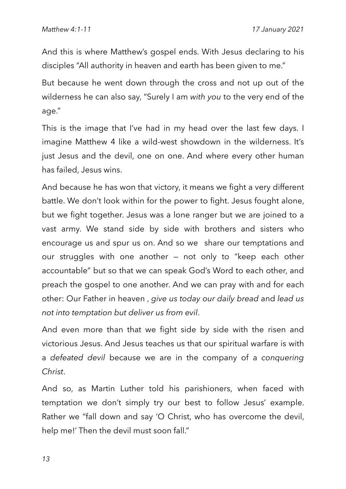And this is where Matthew's gospel ends. With Jesus declaring to his disciples "All authority in heaven and earth has been given to me."

But because he went down through the cross and not up out of the wilderness he can also say, "Surely I am *with you* to the very end of the age."

This is the image that I've had in my head over the last few days. I imagine Matthew 4 like a wild-west showdown in the wilderness. It's just Jesus and the devil, one on one. And where every other human has failed, Jesus wins.

And because he has won that victory, it means we fight a very different battle. We don't look within for the power to fight. Jesus fought alone, but we fight together. Jesus was a lone ranger but we are joined to a vast army. We stand side by side with brothers and sisters who encourage us and spur us on. And so we share our temptations and our struggles with one another — not only to "keep each other accountable" but so that we can speak God's Word to each other, and preach the gospel to one another. And we can pray with and for each other: Our Father in heaven , *give us today our daily bread* and *lead us not into temptation but deliver us from evil*.

And even more than that we fight side by side with the risen and victorious Jesus. And Jesus teaches us that our spiritual warfare is with a *defeated devil* because we are in the company of a *conquering Christ*.

And so, as Martin Luther told his parishioners, when faced with temptation we don't simply try our best to follow Jesus' example. Rather we "fall down and say 'O Christ, who has overcome the devil, help me!' Then the devil must soon fall."